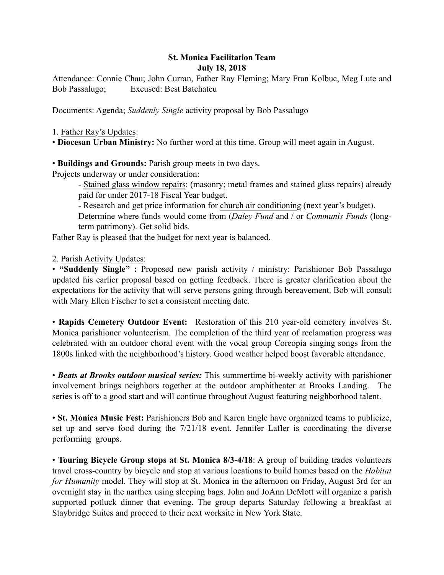## St. Monica Facilitation Team July 18, 2018

Attendance: Connie Chau; John Curran, Father Ray Fleming; Mary Fran Kolbuc, Meg Lute and Bob Passalugo; Excused: Best Batchateu

Documents: Agenda; *Suddenly Single* activity proposal by Bob Passalugo

1. Father Ray's Updates:

• Diocesan Urban Ministry: No further word at this time. Group will meet again in August.

• Buildings and Grounds: Parish group meets in two days.

Projects underway or under consideration:

- Stained glass window repairs: (masonry; metal frames and stained glass repairs) already paid for under 2017-18 Fiscal Year budget.

- Research and get price information for church air conditioning (next year's budget).

Determine where funds would come from (*Daley Fund* and / or *Communis Funds* (longterm patrimony). Get solid bids.

Father Ray is pleased that the budget for next year is balanced.

2. Parish Activity Updates:

• "Suddenly Single" : Proposed new parish activity / ministry: Parishioner Bob Passalugo updated his earlier proposal based on getting feedback. There is greater clarification about the expectations for the activity that will serve persons going through bereavement. Bob will consult with Mary Ellen Fischer to set a consistent meeting date.

• Rapids Cemetery Outdoor Event: Restoration of this 210 year-old cemetery involves St. Monica parishioner volunteerism. The completion of the third year of reclamation progress was celebrated with an outdoor choral event with the vocal group Coreopia singing songs from the 1800s linked with the neighborhood's history. Good weather helped boost favorable attendance.

• *Beats at Brooks outdoor musical series:* This summertime bi-weekly activity with parishioner involvement brings neighbors together at the outdoor amphitheater at Brooks Landing. The series is off to a good start and will continue throughout August featuring neighborhood talent.

• St. Monica Music Fest: Parishioners Bob and Karen Engle have organized teams to publicize, set up and serve food during the 7/21/18 event. Jennifer Lafler is coordinating the diverse performing groups.

• Touring Bicycle Group stops at St. Monica 8/3-4/18: A group of building trades volunteers travel cross-country by bicycle and stop at various locations to build homes based on the *Habitat for Humanity* model. They will stop at St. Monica in the afternoon on Friday, August 3rd for an overnight stay in the narthex using sleeping bags. John and JoAnn DeMott will organize a parish supported potluck dinner that evening. The group departs Saturday following a breakfast at Staybridge Suites and proceed to their next worksite in New York State.